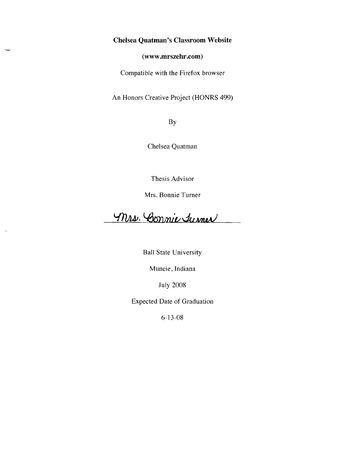## **Chelsea Quatman's Classroom Website**

**(www.mrszehr.com)** 

Compatible with the Firefox browser

An Honors Creative Project (HONRS 499)

By

Chelsea Quatman

Thesis Advisor

Mrs. Bonnie Turner

Mrs. Connie Turner

Ball State University

Muncie, Indiana

July 2008

Expected Date of Graduation

6-13-08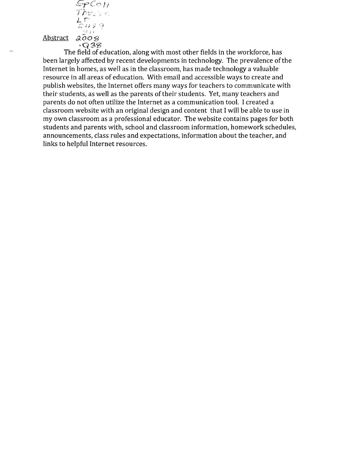$Spec_{II}$  $The: :=$  $L$   $\mathcal{T}^*$  $\lesssim$  47  $\%$ .' \ " J ,1" *<sup>t</sup>* Abstract 2008 *·q3'3* 

The field of education, along with most other fields in the workforce, has been largely affected by recent developments in technology. The prevalence of the Internet in homes, as well as in the classroom, has made technology a valuable resource in all areas of education. With email and accessible ways to create and publish websites, the Internet offers many ways for teachers to communicate with their students, as well as the parents of their students. Yet, many teachers and parents do not often utilize the Internet as a communication tool. I created a classroom website with an original design and content that I will be able to use in my own classroom as a professional educator. The website contains pages for both students and parents with, school and classroom information, homework schedules, announcements, class rules and expectations, information about the teacher, and links to helpful Internet resources.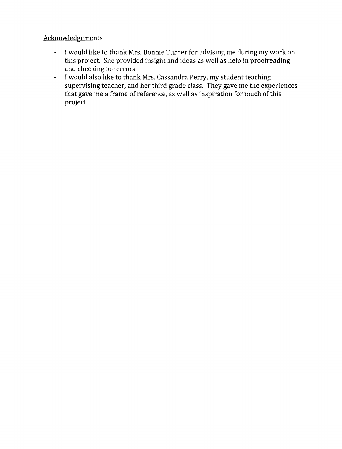## **Acknowledgements**

- I would like to thank Mrs. Bonnie Turner for advising me during my work on  $\mathbb{Z}^{\mathbb{Z}^{\times}}$ this project. She provided insight and ideas as well as help in proofreading and checking for errors.
- I would also like to thank Mrs. Cassandra Perry, my student teaching  $\omega$ supervising teacher, and her third grade class. They gave me the experiences that gave me a frame of reference} as well as inspiration for much of this project.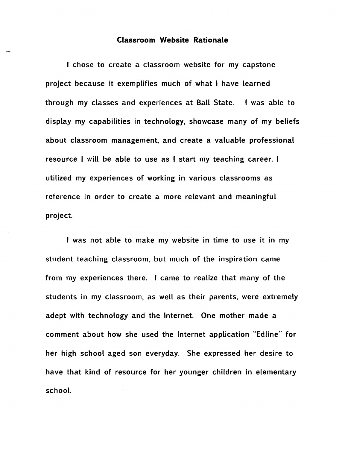## Classroom Website Rationale

I chose to create a classroom website for my capstone project because it exemplifies much of what I have learned through my classes and experiences at Ball State. I was able to display my capabilities in technology, showcase many of my beliefs about classroom management, and create a valuable professional resource I will be able to use as I start my teaching career. I utilized my experiences of working in various classrooms as reference in order to create a more relevant and meaningful project.

I was not able to make my website in time to use it in my student teaching classroom, but much of the inspiration came from my experiences there. I came to realize that many of the students in my classroom, as well as their parents, were extremely adept with technology and the Internet. One mother made a comment about how she used the Internet application "Edline" for her high school aged son everyday. She expressed her desire to have that kind of resource for her younger children in elementary schooL.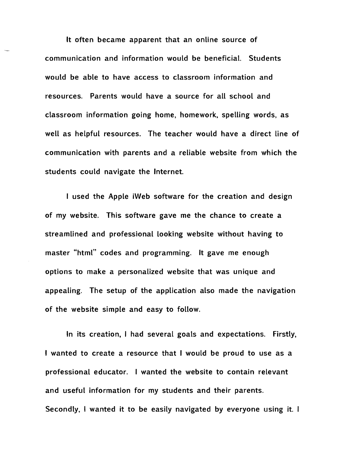It often became apparent that an online source of communication and information would be beneficial. Students would be able to have access to classroom information and resources. Parents would have a source for aU school and classroom information going home, homework, spelling words, as well as helpful resources. The teacher would have a direct line of communication with parents and a reliable website from which the students could navigate the Internet.

I used the Apple iWeb software for the creation and design of my website. This software gave me the chance to create a streamlined and professional looking website without having to master "html" codes and programming. It gave me enough options to make a personalized website that was unique and appealing. The setup of the application also made the navigation of the website simple and easy to follow.

In its creation, I had several goals and expectations. Firstly, I wanted to create a resource that I would be proud to use as a professional educator. I wanted the website to contain relevant and useful information for my students and their parents. Secondly, I wanted it to be easily navigated by everyone using it. I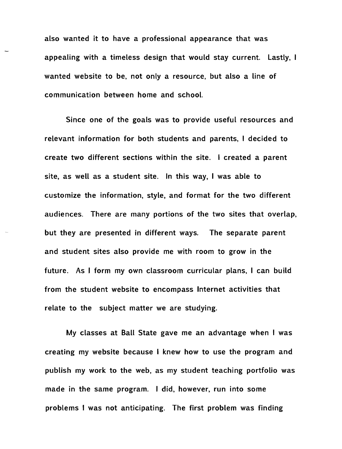also wanted it to have a professional appearance that was appealing with a timeless design that would stay current. Lastly, I wanted website to be, not only a resource, but also a line of communication between home and schooL.

Since one of the goals was to provide useful resources and relevant information for both students and parents, I decided to create two different sections within the site. I created a parent site, as well as a student site. In this way, I was able to customize the information, style, and format for the two different audiences. There are many portions of the two sites that overlap, but they are presented in different ways. The separate parent and student sites also provide me with room to grow in the future. As I form my own classroom curricular plans, I can build from the student website to encompass Internet activities that relate to the subject matter we are studying.

My classes at Ball State gave me an advantage when I was creating my website because I knew how to use the program and publish my work to the web, as my student teaching portfolio was made in the same program. I did, however, run into some problems I was not anticipating. The first problem was finding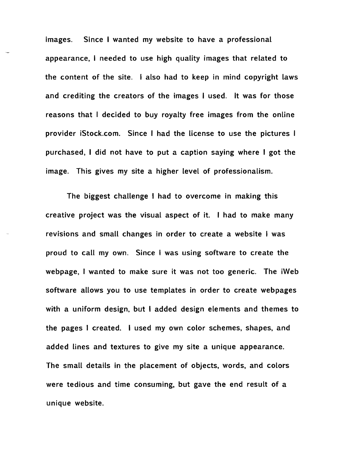images. Since I wanted my website to have a professional appearance, I needed to use high quality images that related to the content of the site. I also had to keep in mind copyright laws and crediting the creators of the images I used. It was for those reasons that I decided to buy royalty free images from the online provider iStock.com. Since I had the license to use the pictures I purchased, I did not have to put a caption saying where I got the image. This gives my site a higher level of professionalism.

The biggest challenge I had to overcome in making this creative project was the visual aspect of it. I had to make many revisions and small changes in order to create a website I was proud to call my own. Since I was using software to create the webpage, I wanted to make sure it was not too generic. The iWeb software allows you to use templates in order to create webpages with a uniform design, but I added design elements and themes to the pages I created. I used my own color schemes, shapes, and added lines and textures to give my site a unique appearance. The small details in the placement of objects, words, and colors were tedious and time consuming, but gave the end result of a unique website.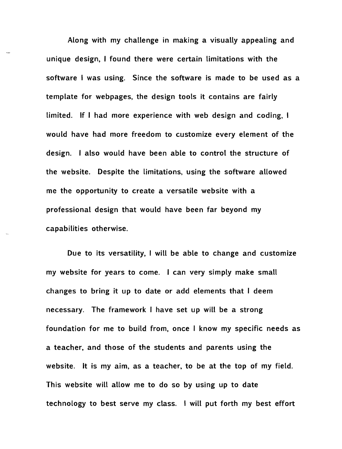Along with my challenge in making a visually appealing and unique design, I found there were certain Limitations with the software I was using. Since the software is made to be used as a template for webpages, the design tools it contains are fairly limited. If I had more experience with web design and coding, I would have had more freedom to customize every element of the design. I also would have been able to control the structure of the website. Despite the Limitations, using the software allowed me the opportunity to create a versatile website with a professional design that would have been far beyond my capabilities otherwise.

Due to its versatility, I will be able to change and customize my website for years to come. I can very simply make small changes to bring it up to date or add elements that I deem necessary. The framework I have set up will be a strong foundation for me to build from, once I know my specific needs as a teacher, and those of the students and parents using the website. It is my aim, as a teacher, to be at the top of my field. This website will allow me to do so by using up to date technology to best serve my class. I will put forth my best effort